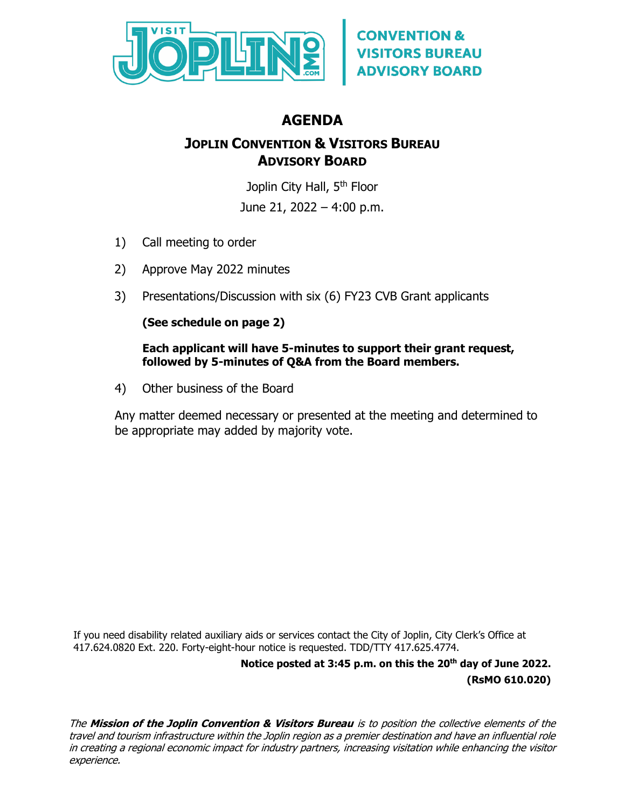

# **AGENDA**

## **JOPLIN CONVENTION & VISITORS BUREAU ADVISORY BOARD**

Joplin City Hall, 5<sup>th</sup> Floor

June 21, 2022 – 4:00 p.m.

- 1) Call meeting to order
- 2) Approve May 2022 minutes
- 3) Presentations/Discussion with six (6) FY23 CVB Grant applicants

### **(See schedule on page 2)**

#### **Each applicant will have 5-minutes to support their grant request, followed by 5-minutes of Q&A from the Board members.**

4) Other business of the Board

Any matter deemed necessary or presented at the meeting and determined to be appropriate may added by majority vote.

If you need disability related auxiliary aids or services contact the City of Joplin, City Clerk's Office at 417.624.0820 Ext. 220. Forty-eight-hour notice is requested. TDD/TTY 417.625.4774.

> **Notice posted at 3:45 p.m. on this the 20th day of June 2022. (RsMO 610.020)**

The **Mission of the Joplin Convention & Visitors Bureau** is to position the collective elements of the travel and tourism infrastructure within the Joplin region as a premier destination and have an influential role in creating a regional economic impact for industry partners, increasing visitation while enhancing the visitor experience.